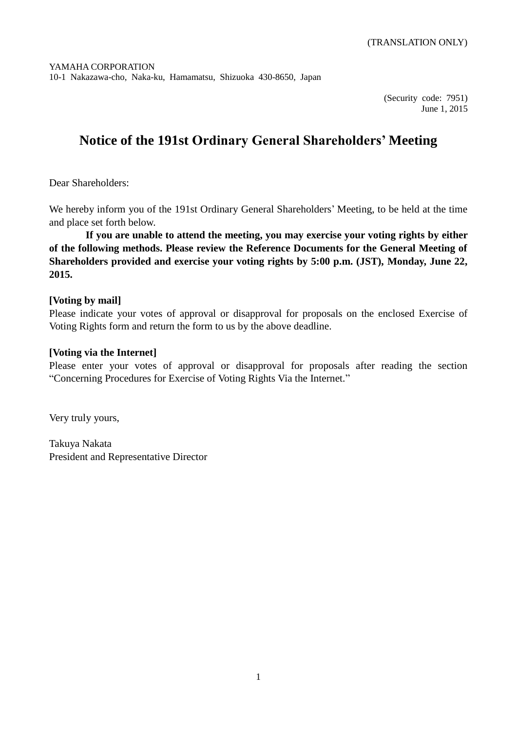(Security code: 7951) June 1, 2015

# **Notice of the 191st Ordinary General Shareholders' Meeting**

Dear Shareholders:

We hereby inform you of the 191st Ordinary General Shareholders' Meeting, to be held at the time and place set forth below.

**If you are unable to attend the meeting, you may exercise your voting rights by either of the following methods. Please review the Reference Documents for the General Meeting of Shareholders provided and exercise your voting rights by 5:00 p.m. (JST), Monday, June 22, 2015.**

### **[Voting by mail]**

Please indicate your votes of approval or disapproval for proposals on the enclosed Exercise of Voting Rights form and return the form to us by the above deadline.

### **[Voting via the Internet]**

Please enter your votes of approval or disapproval for proposals after reading the section "Concerning Procedures for Exercise of Voting Rights Via the Internet."

Very truly yours,

Takuya Nakata President and Representative Director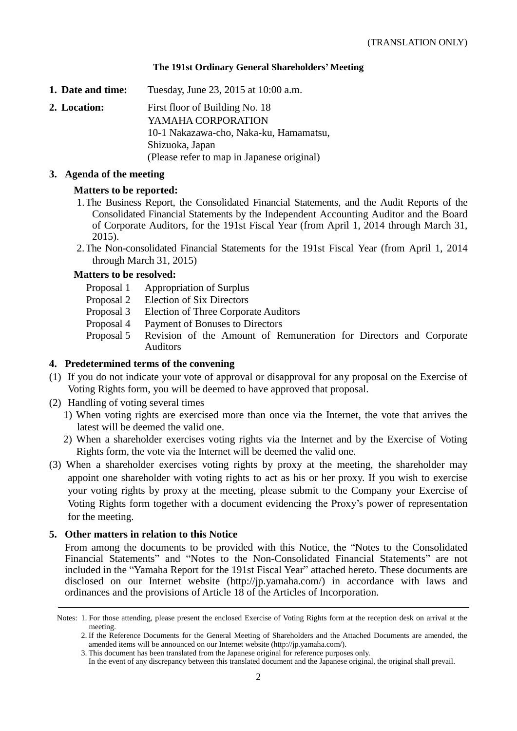### **The 191st Ordinary General Shareholders' Meeting**

**1. Date and time:** Tuesday, June 23, 2015 at 10:00 a.m.

**2. Location:** First floor of Building No. 18 YAMAHA CORPORATION 10-1 Nakazawa-cho, Naka-ku, Hamamatsu, Shizuoka, Japan (Please refer to map in Japanese original)

#### **3. Agenda of the meeting**

### **Matters to be reported:**

- 1.The Business Report, the Consolidated Financial Statements, and the Audit Reports of the Consolidated Financial Statements by the Independent Accounting Auditor and the Board of Corporate Auditors, for the 191st Fiscal Year (from April 1, 2014 through March 31, 2015).
- 2.The Non-consolidated Financial Statements for the 191st Fiscal Year (from April 1, 2014 through March 31, 2015)

### **Matters to be resolved:**

- Proposal 1 Appropriation of Surplus
- Proposal 2 Election of Six Directors
- Proposal 3 Election of Three Corporate Auditors
- Proposal 4 Payment of Bonuses to Directors
- Proposal 5 Revision of the Amount of Remuneration for Directors and Corporate Auditors

### **4. Predetermined terms of the convening**

- (1) If you do not indicate your vote of approval or disapproval for any proposal on the Exercise of Voting Rights form, you will be deemed to have approved that proposal.
- (2) Handling of voting several times
	- 1) When voting rights are exercised more than once via the Internet, the vote that arrives the latest will be deemed the valid one.
	- 2) When a shareholder exercises voting rights via the Internet and by the Exercise of Voting Rights form, the vote via the Internet will be deemed the valid one.
- (3) When a shareholder exercises voting rights by proxy at the meeting, the shareholder may appoint one shareholder with voting rights to act as his or her proxy. If you wish to exercise your voting rights by proxy at the meeting, please submit to the Company your Exercise of Voting Rights form together with a document evidencing the Proxy's power of representation for the meeting.

### **5. Other matters in relation to this Notice**

From among the documents to be provided with this Notice, the "Notes to the Consolidated Financial Statements" and "Notes to the Non-Consolidated Financial Statements" are not included in the "Yamaha Report for the 191st Fiscal Year" attached hereto. These documents are disclosed on our Internet website (http://jp.yamaha.com/) in accordance with laws and ordinances and the provisions of Article 18 of the Articles of Incorporation.

Notes: 1. For those attending, please present the enclosed Exercise of Voting Rights form at the reception desk on arrival at the meeting.

<sup>2.</sup> If the Reference Documents for the General Meeting of Shareholders and the Attached Documents are amended, the amended items will be announced on our Internet website (http://jp.yamaha.com/).

<sup>3.</sup> This document has been translated from the Japanese original for reference purposes only.

In the event of any discrepancy between this translated document and the Japanese original, the original shall prevail.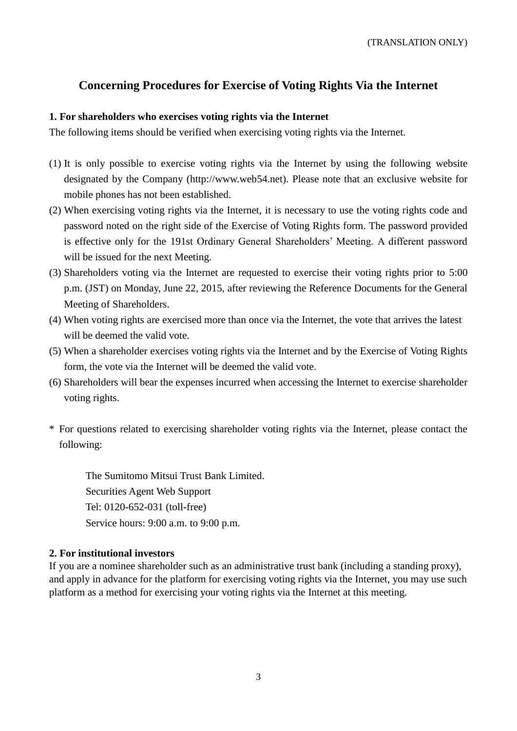### **Concerning Procedures for Exercise of Voting Rights Via the Internet**

### **1. For shareholders who exercises voting rights via the Internet**

The following items should be verified when exercising voting rights via the Internet.

- (1) It is only possible to exercise voting rights via the Internet by using the following website designated by the Company (http://www.web54.net). Please note that an exclusive website for mobile phones has not been established.
- (2) When exercising voting rights via the Internet, it is necessary to use the voting rights code and password noted on the right side of the Exercise of Voting Rights form. The password provided is effective only for the 191st Ordinary General Shareholders' Meeting. A different password will be issued for the next Meeting.
- (3) Shareholders voting via the Internet are requested to exercise their voting rights prior to 5:00 p.m. (JST) on Monday, June 22, 2015, after reviewing the Reference Documents for the General Meeting of Shareholders.
- (4) When voting rights are exercised more than once via the Internet, the vote that arrives the latest will be deemed the valid vote.
- (5) When a shareholder exercises voting rights via the Internet and by the Exercise of Voting Rights form, the vote via the Internet will be deemed the valid vote.
- (6) Shareholders will bear the expenses incurred when accessing the Internet to exercise shareholder voting rights.
- \* For questions related to exercising shareholder voting rights via the Internet, please contact the following:

The Sumitomo Mitsui Trust Bank Limited. Securities Agent Web Support Tel: 0120-652-031 (toll-free) Service hours: 9:00 a.m. to 9:00 p.m.

### **2. For institutional investors**

If you are a nominee shareholder such as an administrative trust bank (including a standing proxy), and apply in advance for the platform for exercising voting rights via the Internet, you may use such platform as a method for exercising your voting rights via the Internet at this meeting.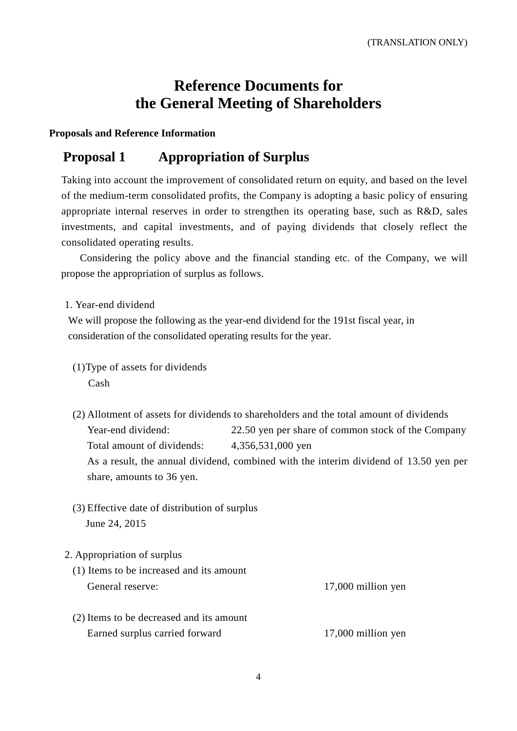# **Reference Documents for the General Meeting of Shareholders**

**Proposals and Reference Information**

## **Proposal 1 Appropriation of Surplus**

Taking into account the improvement of consolidated return on equity, and based on the level of the medium-term consolidated profits, the Company is adopting a basic policy of ensuring appropriate internal reserves in order to strengthen its operating base, such as R&D, sales investments, and capital investments, and of paying dividends that closely reflect the consolidated operating results.

Considering the policy above and the financial standing etc. of the Company, we will propose the appropriation of surplus as follows.

1. Year-end dividend

We will propose the following as the year-end dividend for the 191st fiscal year, in consideration of the consolidated operating results for the year.

- (1)Type of assets for dividends Cash
- (2) Allotment of assets for dividends to shareholders and the total amount of dividends Year-end dividend: 22.50 yen per share of common stock of the Company Total amount of dividends: 4,356,531,000 yen As a result, the annual dividend, combined with the interim dividend of 13.50 yen per share, amounts to 36 yen.
- (3) Effective date of distribution of surplus June 24, 2015

### 2. Appropriation of surplus

| (1) Items to be increased and its amount |                      |
|------------------------------------------|----------------------|
| General reserve:                         | $17,000$ million yen |
| (2) Items to be decreased and its amount |                      |

Earned surplus carried forward 17,000 million yen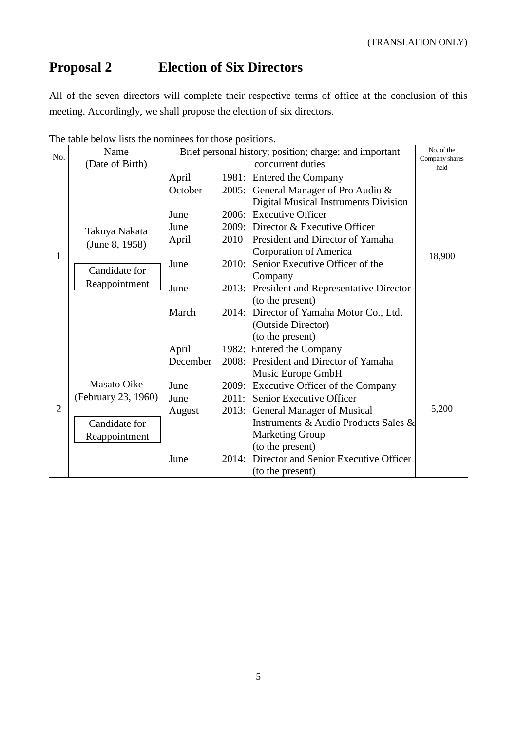# **Proposal 2 Election of Six Directors**

All of the seven directors will complete their respective terms of office at the conclusion of this meeting. Accordingly, we shall propose the election of six directors.

| Name<br>No.    |                     | Brief personal history; position; charge; and important | No. of the |                                             |                        |
|----------------|---------------------|---------------------------------------------------------|------------|---------------------------------------------|------------------------|
|                | (Date of Birth)     |                                                         |            | concurrent duties                           | Company shares<br>held |
|                |                     | April                                                   |            | 1981: Entered the Company                   |                        |
|                |                     | October                                                 |            | 2005: General Manager of Pro Audio &        |                        |
|                |                     |                                                         |            | <b>Digital Musical Instruments Division</b> |                        |
|                |                     | June                                                    |            | 2006: Executive Officer                     |                        |
|                | Takuya Nakata       | June                                                    |            | 2009: Director & Executive Officer          |                        |
|                | (June 8, 1958)      | April                                                   | 2010       | President and Director of Yamaha            |                        |
| 1              |                     |                                                         |            | Corporation of America                      | 18,900                 |
|                | Candidate for       | June                                                    |            | 2010: Senior Executive Officer of the       |                        |
|                |                     |                                                         |            | Company                                     |                        |
|                | Reappointment       | June                                                    |            | 2013: President and Representative Director |                        |
|                |                     |                                                         |            | (to the present)                            |                        |
|                |                     | March                                                   |            | 2014: Director of Yamaha Motor Co., Ltd.    |                        |
|                |                     |                                                         |            | (Outside Director)                          |                        |
|                |                     |                                                         |            | (to the present)                            |                        |
|                |                     | April                                                   |            | 1982: Entered the Company                   |                        |
|                |                     | December                                                |            | 2008: President and Director of Yamaha      |                        |
|                |                     |                                                         |            | Music Europe GmbH                           |                        |
|                | <b>Masato Oike</b>  | June                                                    |            | 2009: Executive Officer of the Company      |                        |
|                | (February 23, 1960) | June                                                    |            | 2011: Senior Executive Officer              |                        |
| $\overline{2}$ |                     | August                                                  |            | 2013: General Manager of Musical            | 5,200                  |
|                | Candidate for       |                                                         |            | Instruments & Audio Products Sales &        |                        |
|                | Reappointment       |                                                         |            | <b>Marketing Group</b>                      |                        |
|                |                     |                                                         |            | (to the present)                            |                        |
|                |                     | June                                                    | 2014:      | Director and Senior Executive Officer       |                        |
|                |                     |                                                         |            | (to the present)                            |                        |

The table below lists the nominees for those positions.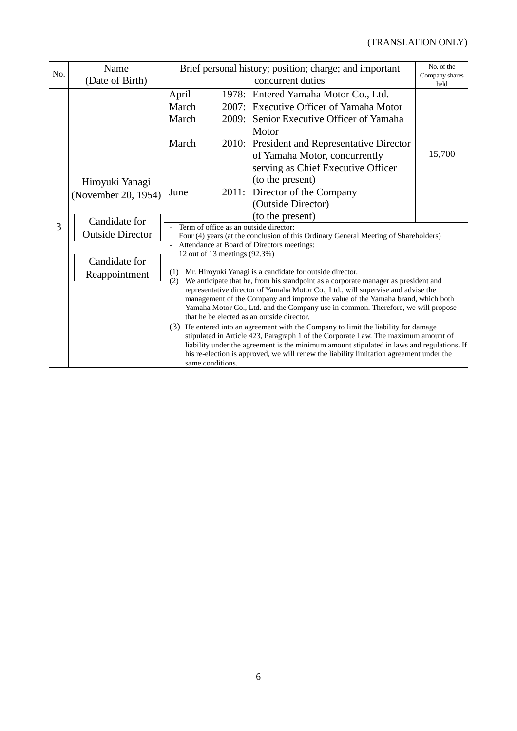### (TRANSLATION ONLY)

| No. | Name                                                                                                                                                                                                                                                                                                                                                   | Brief personal history; position; charge; and important | No. of the                                                                                                                                                                                                                                                                                                                                                                                                                                                                                                                                                                                                                                                                                                                                                                                             |                        |
|-----|--------------------------------------------------------------------------------------------------------------------------------------------------------------------------------------------------------------------------------------------------------------------------------------------------------------------------------------------------------|---------------------------------------------------------|--------------------------------------------------------------------------------------------------------------------------------------------------------------------------------------------------------------------------------------------------------------------------------------------------------------------------------------------------------------------------------------------------------------------------------------------------------------------------------------------------------------------------------------------------------------------------------------------------------------------------------------------------------------------------------------------------------------------------------------------------------------------------------------------------------|------------------------|
|     | (Date of Birth)                                                                                                                                                                                                                                                                                                                                        |                                                         | concurrent duties                                                                                                                                                                                                                                                                                                                                                                                                                                                                                                                                                                                                                                                                                                                                                                                      | Company shares<br>held |
|     |                                                                                                                                                                                                                                                                                                                                                        | April<br>March<br>March<br>March                        | 1978: Entered Yamaha Motor Co., Ltd.<br>2007: Executive Officer of Yamaha Motor<br>2009: Senior Executive Officer of Yamaha<br>Motor<br>2010: President and Representative Director                                                                                                                                                                                                                                                                                                                                                                                                                                                                                                                                                                                                                    |                        |
|     | Hiroyuki Yanagi<br>June<br>(November 20, 1954)                                                                                                                                                                                                                                                                                                         |                                                         | of Yamaha Motor, concurrently<br>serving as Chief Executive Officer<br>(to the present)<br>2011: Director of the Company<br>(Outside Director)<br>(to the present)                                                                                                                                                                                                                                                                                                                                                                                                                                                                                                                                                                                                                                     | 15,700                 |
| 3   | Candidate for<br>Term of office as an outside director:<br><b>Outside Director</b><br>Attendance at Board of Directors meetings:<br>12 out of 13 meetings (92.3%)<br>Candidate for<br>Mr. Hiroyuki Yanagi is a candidate for outside director.<br>(1)<br>Reappointment<br>(2)<br>that he be elected as an outside director.<br>(3)<br>same conditions. |                                                         | Four (4) years (at the conclusion of this Ordinary General Meeting of Shareholders)<br>We anticipate that he, from his standpoint as a corporate manager as president and<br>representative director of Yamaha Motor Co., Ltd., will supervise and advise the<br>management of the Company and improve the value of the Yamaha brand, which both<br>Yamaha Motor Co., Ltd. and the Company use in common. Therefore, we will propose<br>He entered into an agreement with the Company to limit the liability for damage<br>stipulated in Article 423, Paragraph 1 of the Corporate Law. The maximum amount of<br>liability under the agreement is the minimum amount stipulated in laws and regulations. If<br>his re-election is approved, we will renew the liability limitation agreement under the |                        |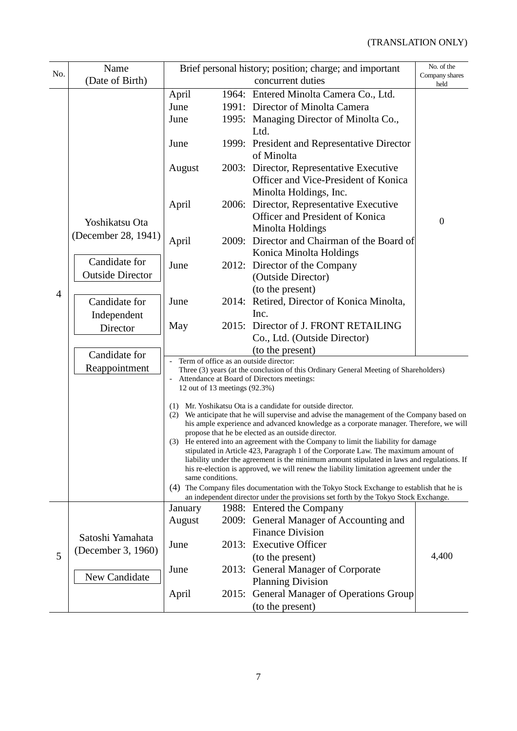|                | Name                    | Brief personal history; position; charge; and important                                                                                                                                                                         |  | No. of the                                                                                                                                                                            |                        |  |
|----------------|-------------------------|---------------------------------------------------------------------------------------------------------------------------------------------------------------------------------------------------------------------------------|--|---------------------------------------------------------------------------------------------------------------------------------------------------------------------------------------|------------------------|--|
| No.            | (Date of Birth)         |                                                                                                                                                                                                                                 |  | concurrent duties                                                                                                                                                                     | Company shares<br>held |  |
|                |                         | April                                                                                                                                                                                                                           |  | 1964: Entered Minolta Camera Co., Ltd.                                                                                                                                                |                        |  |
|                |                         | June                                                                                                                                                                                                                            |  | 1991: Director of Minolta Camera                                                                                                                                                      |                        |  |
|                |                         | June                                                                                                                                                                                                                            |  | 1995: Managing Director of Minolta Co.,                                                                                                                                               |                        |  |
|                |                         |                                                                                                                                                                                                                                 |  | Ltd.                                                                                                                                                                                  |                        |  |
|                |                         | June                                                                                                                                                                                                                            |  | 1999: President and Representative Director<br>of Minolta                                                                                                                             |                        |  |
|                |                         | August                                                                                                                                                                                                                          |  | 2003: Director, Representative Executive<br>Officer and Vice-President of Konica                                                                                                      |                        |  |
|                |                         |                                                                                                                                                                                                                                 |  | Minolta Holdings, Inc.                                                                                                                                                                |                        |  |
|                |                         | April                                                                                                                                                                                                                           |  | 2006: Director, Representative Executive                                                                                                                                              |                        |  |
|                |                         |                                                                                                                                                                                                                                 |  | Officer and President of Konica                                                                                                                                                       | $\mathbf{0}$           |  |
|                | Yoshikatsu Ota          |                                                                                                                                                                                                                                 |  | Minolta Holdings                                                                                                                                                                      |                        |  |
|                | (December 28, 1941)     | April                                                                                                                                                                                                                           |  | 2009: Director and Chairman of the Board of<br>Konica Minolta Holdings                                                                                                                |                        |  |
|                | Candidate for           | June                                                                                                                                                                                                                            |  | 2012: Director of the Company                                                                                                                                                         |                        |  |
|                | <b>Outside Director</b> |                                                                                                                                                                                                                                 |  | (Outside Director)                                                                                                                                                                    |                        |  |
| $\overline{4}$ |                         |                                                                                                                                                                                                                                 |  | (to the present)                                                                                                                                                                      |                        |  |
|                | Candidate for           | June                                                                                                                                                                                                                            |  | 2014: Retired, Director of Konica Minolta,                                                                                                                                            |                        |  |
|                | Independent             |                                                                                                                                                                                                                                 |  | Inc.                                                                                                                                                                                  |                        |  |
|                | Director                | May                                                                                                                                                                                                                             |  | 2015: Director of J. FRONT RETAILING                                                                                                                                                  |                        |  |
|                |                         |                                                                                                                                                                                                                                 |  | Co., Ltd. (Outside Director)                                                                                                                                                          |                        |  |
|                | Candidate for           |                                                                                                                                                                                                                                 |  | (to the present)                                                                                                                                                                      |                        |  |
|                | Reappointment           |                                                                                                                                                                                                                                 |  | Term of office as an outside director:<br>Three (3) years (at the conclusion of this Ordinary General Meeting of Shareholders)                                                        |                        |  |
|                |                         | 12 out of 13 meetings (92.3%)                                                                                                                                                                                                   |  | Attendance at Board of Directors meetings:                                                                                                                                            |                        |  |
|                |                         |                                                                                                                                                                                                                                 |  | (1) Mr. Yoshikatsu Ota is a candidate for outside director.                                                                                                                           |                        |  |
|                |                         | (2)                                                                                                                                                                                                                             |  | We anticipate that he will supervise and advise the management of the Company based on<br>his ample experience and advanced knowledge as a corporate manager. Therefore, we will      |                        |  |
|                |                         | propose that he be elected as an outside director.<br>(3) He entered into an agreement with the Company to limit the liability for damage<br>stipulated in Article 423, Paragraph 1 of the Corporate Law. The maximum amount of |  |                                                                                                                                                                                       |                        |  |
|                |                         |                                                                                                                                                                                                                                 |  |                                                                                                                                                                                       |                        |  |
|                |                         | same conditions.                                                                                                                                                                                                                |  | liability under the agreement is the minimum amount stipulated in laws and regulations. If<br>his re-election is approved, we will renew the liability limitation agreement under the |                        |  |
|                |                         |                                                                                                                                                                                                                                 |  | (4) The Company files documentation with the Tokyo Stock Exchange to establish that he is                                                                                             |                        |  |
|                |                         | January                                                                                                                                                                                                                         |  | an independent director under the provisions set forth by the Tokyo Stock Exchange.<br>1988: Entered the Company                                                                      |                        |  |
|                |                         | August                                                                                                                                                                                                                          |  | 2009: General Manager of Accounting and                                                                                                                                               |                        |  |
| 5              |                         |                                                                                                                                                                                                                                 |  | <b>Finance Division</b>                                                                                                                                                               |                        |  |
|                | Satoshi Yamahata        | June                                                                                                                                                                                                                            |  | 2013: Executive Officer                                                                                                                                                               |                        |  |
|                | (December 3, 1960)      |                                                                                                                                                                                                                                 |  | (to the present)                                                                                                                                                                      | 4,400                  |  |
|                |                         | June                                                                                                                                                                                                                            |  | 2013: General Manager of Corporate                                                                                                                                                    |                        |  |
|                | New Candidate           |                                                                                                                                                                                                                                 |  | <b>Planning Division</b>                                                                                                                                                              |                        |  |
|                |                         | April                                                                                                                                                                                                                           |  | 2015: General Manager of Operations Group                                                                                                                                             |                        |  |
|                |                         |                                                                                                                                                                                                                                 |  | (to the present)                                                                                                                                                                      |                        |  |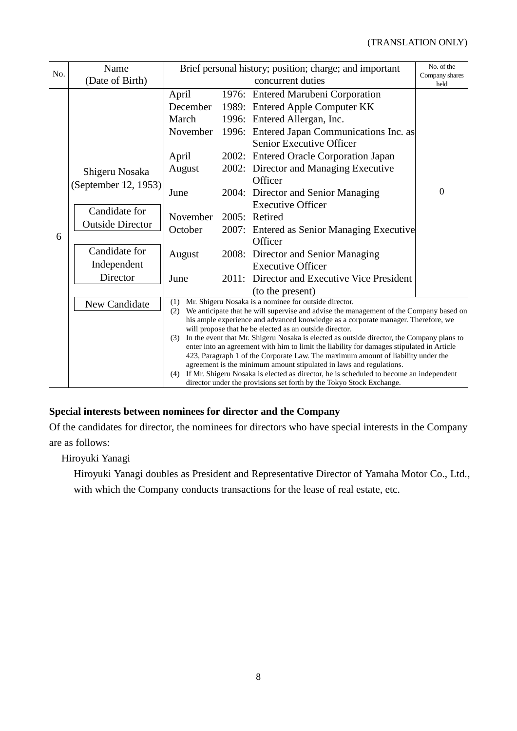| No. | Name                                     |                                                                                                                                                                                                                                                                                                                                                                                                                                                                                                                                                                                                                                                                                                                                                                                                                                                    |       | Brief personal history; position; charge; and important                                                                                                                                                                                                                                                                                         | No. of the             |
|-----|------------------------------------------|----------------------------------------------------------------------------------------------------------------------------------------------------------------------------------------------------------------------------------------------------------------------------------------------------------------------------------------------------------------------------------------------------------------------------------------------------------------------------------------------------------------------------------------------------------------------------------------------------------------------------------------------------------------------------------------------------------------------------------------------------------------------------------------------------------------------------------------------------|-------|-------------------------------------------------------------------------------------------------------------------------------------------------------------------------------------------------------------------------------------------------------------------------------------------------------------------------------------------------|------------------------|
|     | (Date of Birth)                          |                                                                                                                                                                                                                                                                                                                                                                                                                                                                                                                                                                                                                                                                                                                                                                                                                                                    |       | concurrent duties                                                                                                                                                                                                                                                                                                                               | Company shares<br>held |
| 6   | Shigeru Nosaka<br>(September 12, 1953)   | April<br>December<br>March<br>November<br>April<br>August<br>June                                                                                                                                                                                                                                                                                                                                                                                                                                                                                                                                                                                                                                                                                                                                                                                  |       | 1976: Entered Marubeni Corporation<br>1989: Entered Apple Computer KK<br>1996: Entered Allergan, Inc.<br>1996: Entered Japan Communications Inc. as<br>Senior Executive Officer<br>2002: Entered Oracle Corporation Japan<br>2002: Director and Managing Executive<br>Officer<br>2004: Director and Senior Managing<br><b>Executive Officer</b> | $\overline{0}$         |
|     | Candidate for<br><b>Outside Director</b> | November<br>October                                                                                                                                                                                                                                                                                                                                                                                                                                                                                                                                                                                                                                                                                                                                                                                                                                |       | 2005: Retired<br>2007: Entered as Senior Managing Executive<br>Officer                                                                                                                                                                                                                                                                          |                        |
|     | Candidate for<br>Independent             | August                                                                                                                                                                                                                                                                                                                                                                                                                                                                                                                                                                                                                                                                                                                                                                                                                                             |       | 2008: Director and Senior Managing<br><b>Executive Officer</b>                                                                                                                                                                                                                                                                                  |                        |
|     | Director                                 | June                                                                                                                                                                                                                                                                                                                                                                                                                                                                                                                                                                                                                                                                                                                                                                                                                                               | 2011: | Director and Executive Vice President<br>(to the present)                                                                                                                                                                                                                                                                                       |                        |
|     | New Candidate                            | Mr. Shigeru Nosaka is a nominee for outside director.<br>(1)<br>We anticipate that he will supervise and advise the management of the Company based on<br>(2)<br>his ample experience and advanced knowledge as a corporate manager. Therefore, we<br>will propose that he be elected as an outside director.<br>In the event that Mr. Shigeru Nosaka is elected as outside director, the Company plans to<br>(3)<br>enter into an agreement with him to limit the liability for damages stipulated in Article<br>423, Paragraph 1 of the Corporate Law. The maximum amount of liability under the<br>agreement is the minimum amount stipulated in laws and regulations.<br>If Mr. Shigeru Nosaka is elected as director, he is scheduled to become an independent<br>(4)<br>director under the provisions set forth by the Tokyo Stock Exchange. |       |                                                                                                                                                                                                                                                                                                                                                 |                        |

### **Special interests between nominees for director and the Company**

Of the candidates for director, the nominees for directors who have special interests in the Company are as follows:

Hiroyuki Yanagi

Hiroyuki Yanagi doubles as President and Representative Director of Yamaha Motor Co., Ltd., with which the Company conducts transactions for the lease of real estate, etc.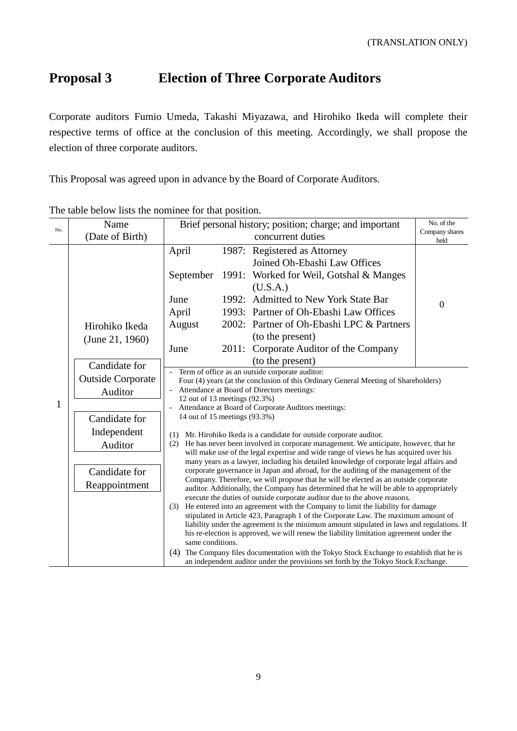# **Proposal 3 Election of Three Corporate Auditors**

Corporate auditors Fumio Umeda, Takashi Miyazawa, and Hirohiko Ikeda will complete their respective terms of office at the conclusion of this meeting. Accordingly, we shall propose the election of three corporate auditors.

This Proposal was agreed upon in advance by the Board of Corporate Auditors.

| No. | Name<br>(Date of Birth)                                                                                                           | Brief personal history; position; charge; and important<br>concurrent duties                            |  |                                                                                                                                                                                                                                                                                                                                                                                                                                                                                                                                                                                                                                                                                                                                                                                                                                                                                                                                                                                                                                                                                                                                                                                                                                                                                                                                                                                                                                                                                                       | No. of the<br>Company shares |
|-----|-----------------------------------------------------------------------------------------------------------------------------------|---------------------------------------------------------------------------------------------------------|--|-------------------------------------------------------------------------------------------------------------------------------------------------------------------------------------------------------------------------------------------------------------------------------------------------------------------------------------------------------------------------------------------------------------------------------------------------------------------------------------------------------------------------------------------------------------------------------------------------------------------------------------------------------------------------------------------------------------------------------------------------------------------------------------------------------------------------------------------------------------------------------------------------------------------------------------------------------------------------------------------------------------------------------------------------------------------------------------------------------------------------------------------------------------------------------------------------------------------------------------------------------------------------------------------------------------------------------------------------------------------------------------------------------------------------------------------------------------------------------------------------------|------------------------------|
|     | Hirohiko Ikeda<br>(June 21, 1960)                                                                                                 | April<br>September<br>June<br>April<br>August<br>June                                                   |  | 1987: Registered as Attorney<br>Joined Oh-Ebashi Law Offices<br>1991: Worked for Weil, Gotshal & Manges<br>(U.S.A.)<br>1992: Admitted to New York State Bar<br>1993: Partner of Oh-Ebashi Law Offices<br>2002: Partner of Oh-Ebashi LPC & Partners<br>(to the present)<br>2011: Corporate Auditor of the Company<br>(to the present)                                                                                                                                                                                                                                                                                                                                                                                                                                                                                                                                                                                                                                                                                                                                                                                                                                                                                                                                                                                                                                                                                                                                                                  | held<br>$\boldsymbol{0}$     |
| 1   | Candidate for<br><b>Outside Corporate</b><br>Auditor<br>Candidate for<br>Independent<br>Auditor<br>Candidate for<br>Reappointment | 12 out of 13 meetings (92.3%)<br>14 out of 15 meetings (93.3%)<br>(1)<br>(2)<br>(3)<br>same conditions. |  | Term of office as an outside corporate auditor:<br>Four (4) years (at the conclusion of this Ordinary General Meeting of Shareholders)<br>Attendance at Board of Directors meetings:<br>Attendance at Board of Corporate Auditors meetings:<br>Mr. Hirohiko Ikeda is a candidate for outside corporate auditor.<br>He has never been involved in corporate management. We anticipate, however, that he<br>will make use of the legal expertise and wide range of views he has acquired over his<br>many years as a lawyer, including his detailed knowledge of corporate legal affairs and<br>corporate governance in Japan and abroad, for the auditing of the management of the<br>Company. Therefore, we will propose that he will be elected as an outside corporate<br>auditor. Additionally, the Company has determined that he will be able to appropriately<br>execute the duties of outside corporate auditor due to the above reasons.<br>He entered into an agreement with the Company to limit the liability for damage<br>stipulated in Article 423, Paragraph 1 of the Corporate Law. The maximum amount of<br>liability under the agreement is the minimum amount stipulated in laws and regulations. If<br>his re-election is approved, we will renew the liability limitation agreement under the<br>(4) The Company files documentation with the Tokyo Stock Exchange to establish that he is<br>an independent auditor under the provisions set forth by the Tokyo Stock Exchange. |                              |

The table below lists the nominee for that position.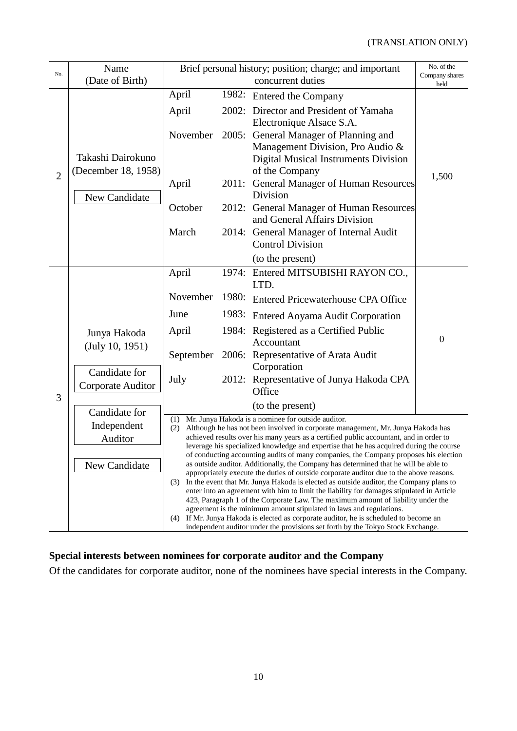| No.            | Name                                     | Brief personal history; position; charge; and important                                                                                                                                                                                                                                                                                                                                                                                                                                                                                                                                                                                                                                                           |       | No. of the<br>Company shares                                                                                                                                                  |                |  |
|----------------|------------------------------------------|-------------------------------------------------------------------------------------------------------------------------------------------------------------------------------------------------------------------------------------------------------------------------------------------------------------------------------------------------------------------------------------------------------------------------------------------------------------------------------------------------------------------------------------------------------------------------------------------------------------------------------------------------------------------------------------------------------------------|-------|-------------------------------------------------------------------------------------------------------------------------------------------------------------------------------|----------------|--|
|                | (Date of Birth)                          |                                                                                                                                                                                                                                                                                                                                                                                                                                                                                                                                                                                                                                                                                                                   |       | concurrent duties                                                                                                                                                             | held           |  |
| $\overline{2}$ | Takashi Dairokuno<br>(December 18, 1958) | April<br>April                                                                                                                                                                                                                                                                                                                                                                                                                                                                                                                                                                                                                                                                                                    |       | 1982: Entered the Company<br>2002: Director and President of Yamaha<br>Electronique Alsace S.A.                                                                               |                |  |
|                |                                          | November                                                                                                                                                                                                                                                                                                                                                                                                                                                                                                                                                                                                                                                                                                          |       | 2005: General Manager of Planning and<br>Management Division, Pro Audio &<br>Digital Musical Instruments Division<br>of the Company                                           | 1,500          |  |
|                | New Candidate                            | April                                                                                                                                                                                                                                                                                                                                                                                                                                                                                                                                                                                                                                                                                                             | 2011: | General Manager of Human Resources<br>Division                                                                                                                                |                |  |
|                |                                          | October                                                                                                                                                                                                                                                                                                                                                                                                                                                                                                                                                                                                                                                                                                           |       | 2012: General Manager of Human Resources<br>and General Affairs Division                                                                                                      |                |  |
|                |                                          | March                                                                                                                                                                                                                                                                                                                                                                                                                                                                                                                                                                                                                                                                                                             |       | 2014: General Manager of Internal Audit<br><b>Control Division</b>                                                                                                            |                |  |
|                |                                          |                                                                                                                                                                                                                                                                                                                                                                                                                                                                                                                                                                                                                                                                                                                   |       | (to the present)                                                                                                                                                              |                |  |
|                |                                          | April                                                                                                                                                                                                                                                                                                                                                                                                                                                                                                                                                                                                                                                                                                             |       | 1974: Entered MITSUBISHI RAYON CO.,<br>LTD.                                                                                                                                   |                |  |
|                |                                          | November                                                                                                                                                                                                                                                                                                                                                                                                                                                                                                                                                                                                                                                                                                          | 1980: | <b>Entered Pricewaterhouse CPA Office</b>                                                                                                                                     |                |  |
|                |                                          | June                                                                                                                                                                                                                                                                                                                                                                                                                                                                                                                                                                                                                                                                                                              |       | 1983: Entered Aoyama Audit Corporation                                                                                                                                        |                |  |
|                | Junya Hakoda<br>(July 10, 1951)          | April                                                                                                                                                                                                                                                                                                                                                                                                                                                                                                                                                                                                                                                                                                             |       | 1984: Registered as a Certified Public<br>Accountant                                                                                                                          | $\overline{0}$ |  |
|                |                                          | September                                                                                                                                                                                                                                                                                                                                                                                                                                                                                                                                                                                                                                                                                                         |       | 2006: Representative of Arata Audit<br>Corporation                                                                                                                            |                |  |
|                | Candidate for<br>Corporate Auditor       | July                                                                                                                                                                                                                                                                                                                                                                                                                                                                                                                                                                                                                                                                                                              |       | 2012: Representative of Junya Hakoda CPA<br>Office                                                                                                                            |                |  |
| 3              | Candidate for                            |                                                                                                                                                                                                                                                                                                                                                                                                                                                                                                                                                                                                                                                                                                                   |       | (to the present)                                                                                                                                                              |                |  |
|                | Independent<br>Auditor                   | (1) Mr. Junya Hakoda is a nominee for outside auditor.<br>Although he has not been involved in corporate management, Mr. Junya Hakoda has<br>(2)<br>achieved results over his many years as a certified public accountant, and in order to<br>leverage his specialized knowledge and expertise that he has acquired during the course<br>of conducting accounting audits of many companies, the Company proposes his election<br>as outside auditor. Additionally, the Company has determined that he will be able to<br>appropriately execute the duties of outside corporate auditor due to the above reasons.<br>In the event that Mr. Junya Hakoda is elected as outside auditor, the Company plans to<br>(3) |       |                                                                                                                                                                               |                |  |
|                | New Candidate                            |                                                                                                                                                                                                                                                                                                                                                                                                                                                                                                                                                                                                                                                                                                                   |       |                                                                                                                                                                               |                |  |
|                |                                          |                                                                                                                                                                                                                                                                                                                                                                                                                                                                                                                                                                                                                                                                                                                   |       |                                                                                                                                                                               |                |  |
|                |                                          |                                                                                                                                                                                                                                                                                                                                                                                                                                                                                                                                                                                                                                                                                                                   |       | enter into an agreement with him to limit the liability for damages stipulated in Article<br>423, Paragraph 1 of the Corporate Law. The maximum amount of liability under the |                |  |
|                |                                          | agreement is the minimum amount stipulated in laws and regulations.<br>If Mr. Junya Hakoda is elected as corporate auditor, he is scheduled to become an<br>(4)                                                                                                                                                                                                                                                                                                                                                                                                                                                                                                                                                   |       |                                                                                                                                                                               |                |  |
|                |                                          |                                                                                                                                                                                                                                                                                                                                                                                                                                                                                                                                                                                                                                                                                                                   |       | independent auditor under the provisions set forth by the Tokyo Stock Exchange.                                                                                               |                |  |

### **Special interests between nominees for corporate auditor and the Company**

Of the candidates for corporate auditor, none of the nominees have special interests in the Company.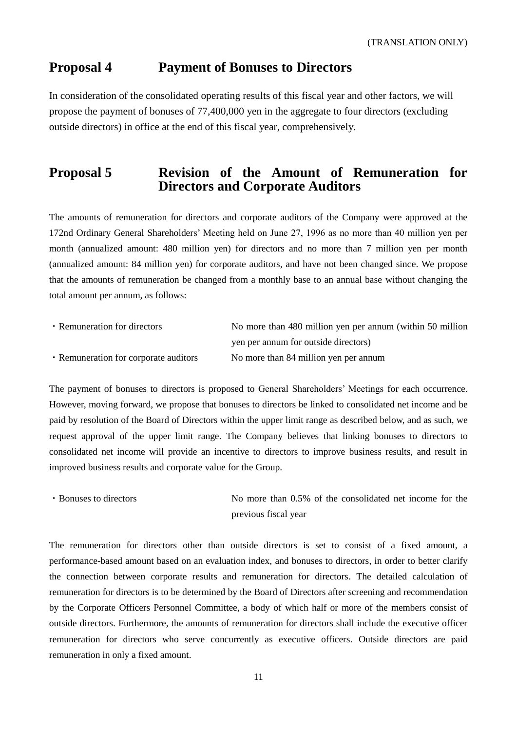### **Proposal 4 Payment of Bonuses to Directors**

In consideration of the consolidated operating results of this fiscal year and other factors, we will propose the payment of bonuses of 77,400,000 yen in the aggregate to four directors (excluding outside directors) in office at the end of this fiscal year, comprehensively.

### **Proposal 5 Revision of the Amount of Remuneration for Directors and Corporate Auditors**

The amounts of remuneration for directors and corporate auditors of the Company were approved at the 172nd Ordinary General Shareholders' Meeting held on June 27, 1996 as no more than 40 million yen per month (annualized amount: 480 million yen) for directors and no more than 7 million yen per month (annualized amount: 84 million yen) for corporate auditors, and have not been changed since. We propose that the amounts of remuneration be changed from a monthly base to an annual base without changing the total amount per annum, as follows:

| • Remuneration for directors          | No more than 480 million yen per annum (within 50 million |
|---------------------------------------|-----------------------------------------------------------|
|                                       | yen per annum for outside directors)                      |
| • Remuneration for corporate auditors | No more than 84 million yen per annum                     |

The payment of bonuses to directors is proposed to General Shareholders' Meetings for each occurrence. However, moving forward, we propose that bonuses to directors be linked to consolidated net income and be paid by resolution of the Board of Directors within the upper limit range as described below, and as such, we request approval of the upper limit range. The Company believes that linking bonuses to directors to consolidated net income will provide an incentive to directors to improve business results, and result in improved business results and corporate value for the Group.

```
・Bonuses to directors No more than 0.5% of the consolidated net income for the 
                        previous fiscal year
```
The remuneration for directors other than outside directors is set to consist of a fixed amount, a performance-based amount based on an evaluation index, and bonuses to directors, in order to better clarify the connection between corporate results and remuneration for directors. The detailed calculation of remuneration for directors is to be determined by the Board of Directors after screening and recommendation by the Corporate Officers Personnel Committee, a body of which half or more of the members consist of outside directors. Furthermore, the amounts of remuneration for directors shall include the executive officer remuneration for directors who serve concurrently as executive officers. Outside directors are paid remuneration in only a fixed amount.